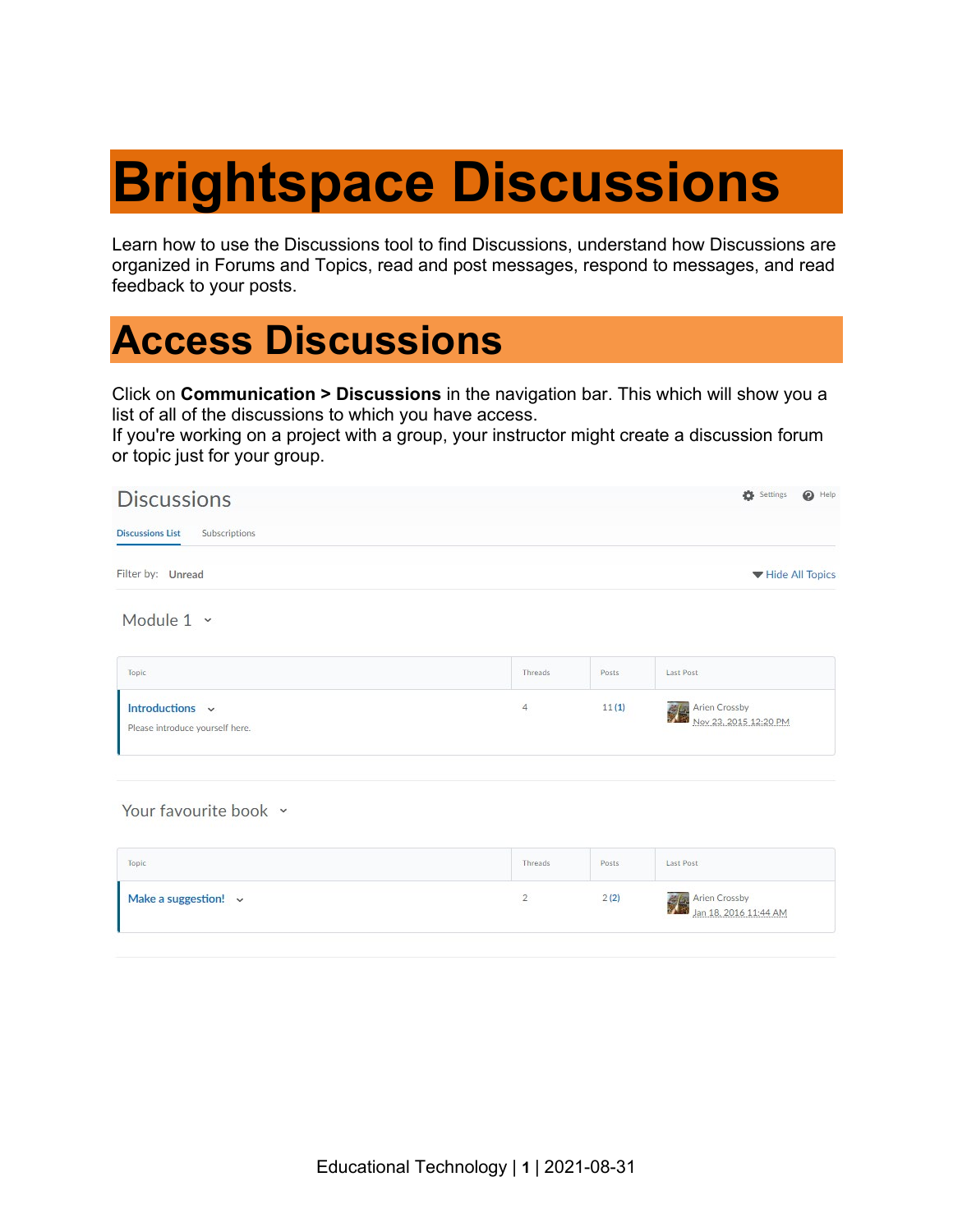# **Brightspace Discussions**

Learn how to use the Discussions tool to find Discussions, understand how Discussions are organized in Forums and Topics, read and post messages, respond to messages, and read feedback to your posts.

### **Access Discussions**

Click on **Communication > Discussions** in the navigation bar. This which will show you a list of all of the discussions to which you have access.

If you're working on a project with a group, your instructor might create a discussion forum or topic just for your group.

| <b>Discussions</b>                                 |                |        | Settings<br>$\bigcirc$ Help            |
|----------------------------------------------------|----------------|--------|----------------------------------------|
| <b>Discussions List</b><br>Subscriptions           |                |        |                                        |
| Filter by: Unread                                  |                |        | Hide All Topics                        |
| Module $1 -$                                       |                |        |                                        |
| Topic                                              | Threads        | Posts. | Last Post                              |
| Introductions v<br>Please introduce yourself here. | $\overline{4}$ | 11(1)  | Arien Crossby<br>Nov 23, 2015 12:20 PM |
|                                                    |                |        |                                        |

Your favourite book ~

| Topic                     | Threads | Posts | Last Post                              |
|---------------------------|---------|-------|----------------------------------------|
| Make a suggestion! $\sim$ |         | 2(2)  | Arien Crossby<br>Jan 18, 2016 11:44 AM |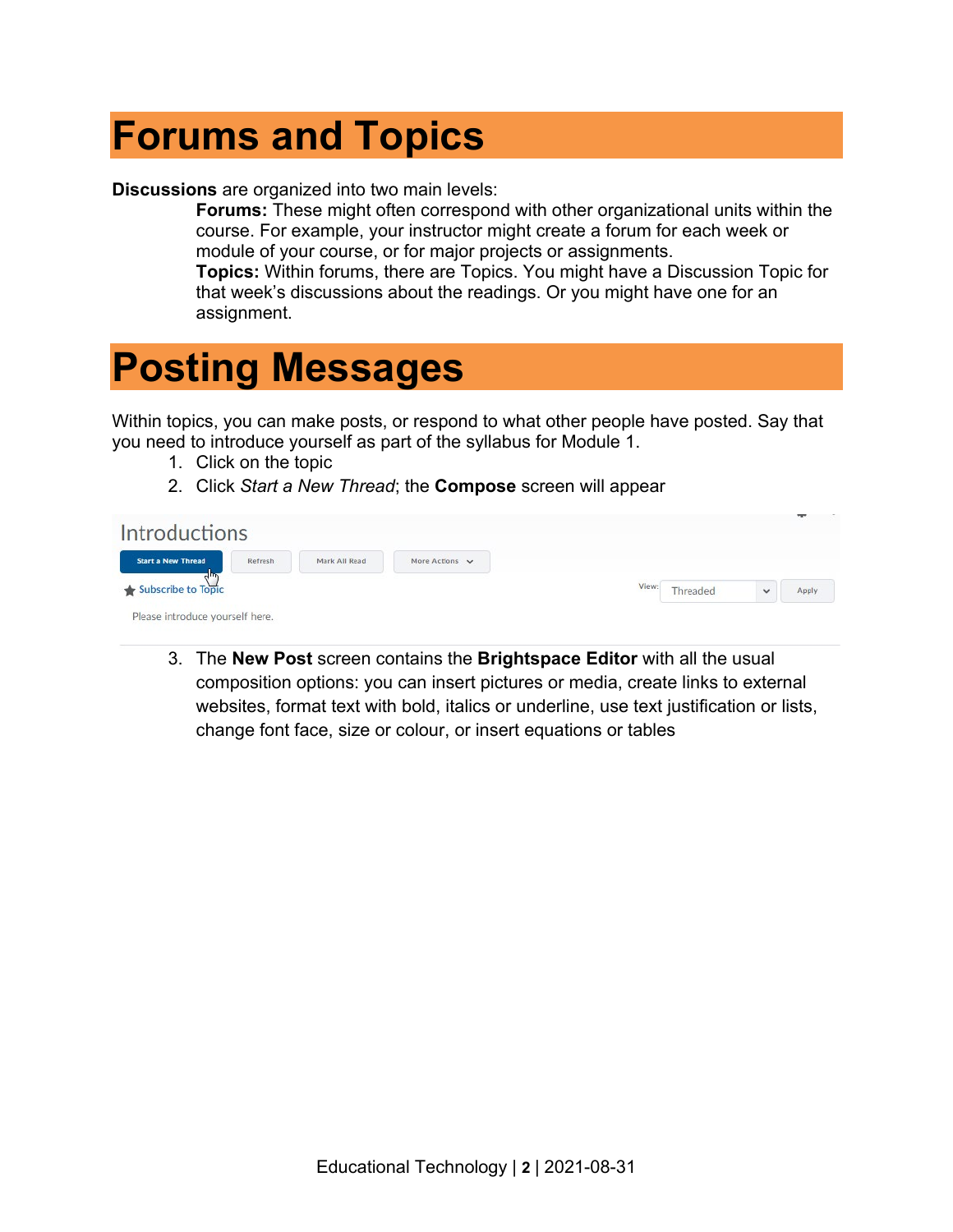### **Forums and Topics**

**Discussions** are organized into two main levels:

**Forums:** These might often correspond with other organizational units within the course. For example, your instructor might create a forum for each week or module of your course, or for major projects or assignments. **Topics:** Within forums, there are Topics. You might have a Discussion Topic for that week's discussions about the readings. Or you might have one for an assignment.

### **Posting Messages**

Within topics, you can make posts, or respond to what other people have posted. Say that you need to introduce yourself as part of the syllabus for Module 1.

- 1. Click on the topic
- 2. Click *Start a New Thread*; the **Compose** screen will appear

| <b>Introductions</b>            |         |               |                |       |          |              | $\sim$ |
|---------------------------------|---------|---------------|----------------|-------|----------|--------------|--------|
| <b>Start a New Thread</b>       | Refresh | Mark All Read | More Actions v |       |          |              |        |
| Subscribe to Topic              |         |               |                | View: | Threaded | $\checkmark$ | Apply  |
| Please introduce yourself here. |         |               |                |       |          |              |        |

3. The **New Post** screen contains the **Brightspace Editor** with all the usual composition options: you can insert pictures or media, create links to external websites, format text with bold, italics or underline, use text justification or lists, change font face, size or colour, or insert equations or tables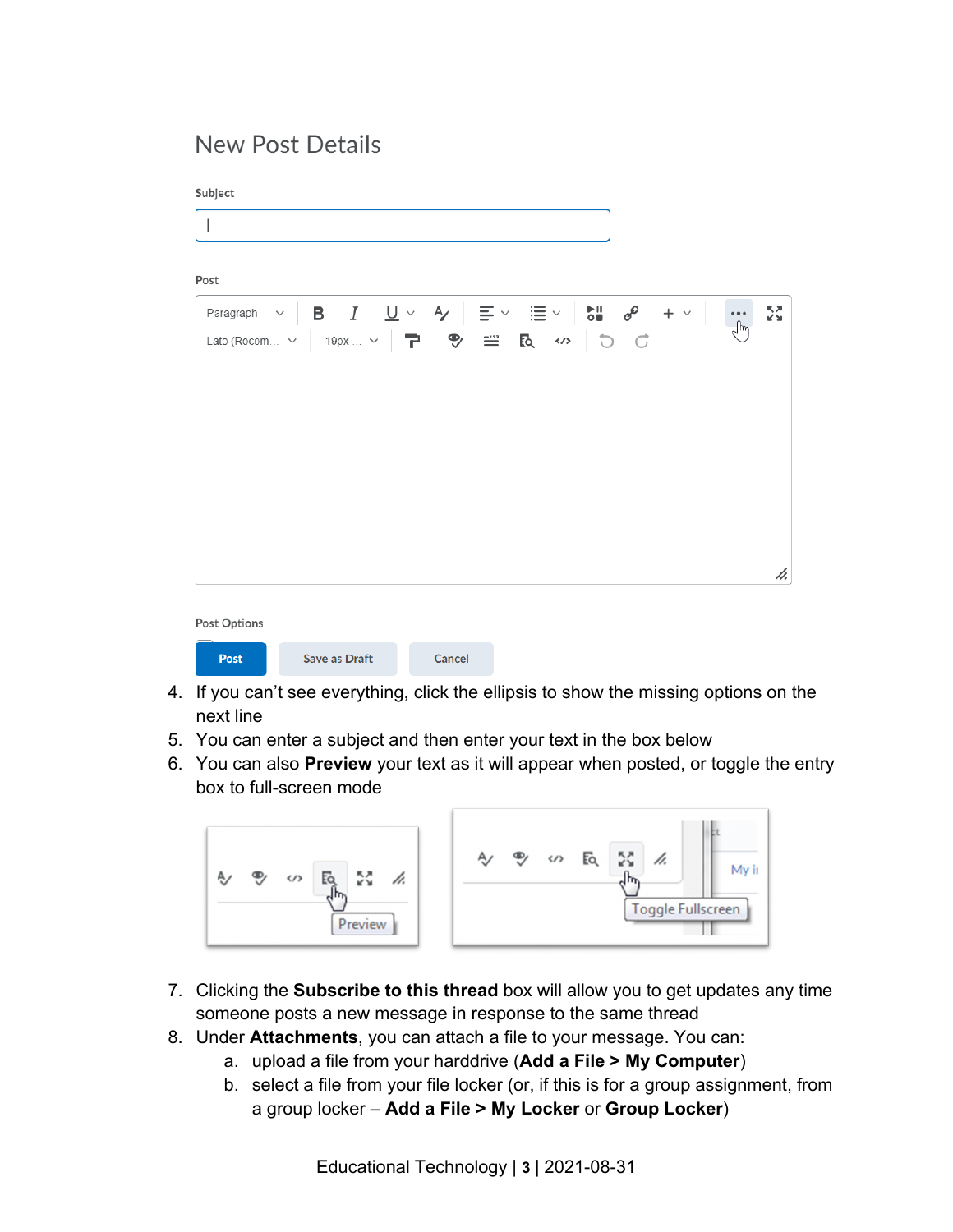### New Post Details

Subject

| Paragraph $\vee$ <b>B</b> $I$ <b>U</b> $\vee$ <b>A</b> $\equiv$ $\vee$ $\equiv$ $\vee$ <b>E</b> $\vee$ <b>C</b> $\equiv$ |         |  |                                                                              | $+$ $\vee$ | $\bullet$ $\bullet$ $\bullet$<br>∫հղ |
|--------------------------------------------------------------------------------------------------------------------------|---------|--|------------------------------------------------------------------------------|------------|--------------------------------------|
| Lato (Recom $\vee$                                                                                                       | 19рх  ∨ |  | $\mathbb{P} \parallel \mathbb{P}$ = R $\omega$ $\mid \mathbb{D} \parallel C$ |            |                                      |
|                                                                                                                          |         |  |                                                                              |            |                                      |
|                                                                                                                          |         |  |                                                                              |            |                                      |
|                                                                                                                          |         |  |                                                                              |            |                                      |
|                                                                                                                          |         |  |                                                                              |            |                                      |
|                                                                                                                          |         |  |                                                                              |            |                                      |
|                                                                                                                          |         |  |                                                                              |            |                                      |
|                                                                                                                          |         |  |                                                                              |            |                                      |
|                                                                                                                          |         |  |                                                                              |            |                                      |
|                                                                                                                          |         |  |                                                                              |            |                                      |
|                                                                                                                          |         |  |                                                                              |            |                                      |
|                                                                                                                          |         |  |                                                                              |            |                                      |

- 4. If you can't see everything, click the ellipsis to show the missing options on the next line
- 5. You can enter a subject and then enter your text in the box below
- 6. You can also **Preview** your text as it will appear when posted, or toggle the entry box to full-screen mode



- 7. Clicking the **Subscribe to this thread** box will allow you to get updates any time someone posts a new message in response to the same thread
- 8. Under **Attachments**, you can attach a file to your message. You can:
	- a. upload a file from your harddrive (**Add a File > My Computer**)
	- b. select a file from your file locker (or, if this is for a group assignment, from a group locker – **Add a File > My Locker** or **Group Locker**)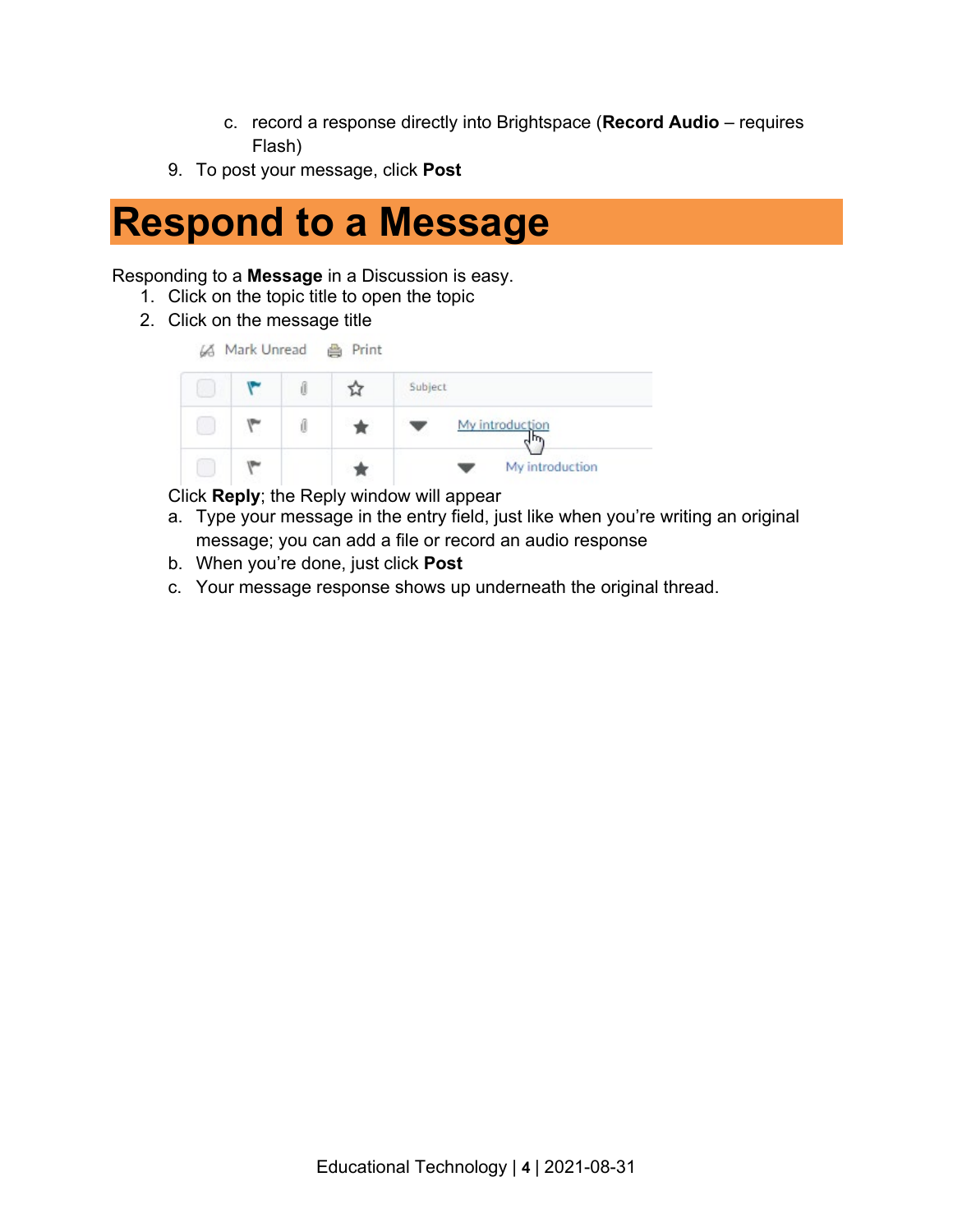- c. record a response directly into Brightspace (**Record Audio**  requires Flash)
- 9. To post your message, click **Post**

### **Respond to a Message**

#### Responding to a **Message** in a Discussion is easy.

- 1. Click on the topic title to open the topic
- 2. Click on the message title

|  |  | Subject         |
|--|--|-----------------|
|  |  | My introduction |
|  |  | My introduction |

Click **Reply**; the Reply window will appear

- a. Type your message in the entry field, just like when you're writing an original message; you can add a file or record an audio response
- b. When you're done, just click **Post**
- c. Your message response shows up underneath the original thread.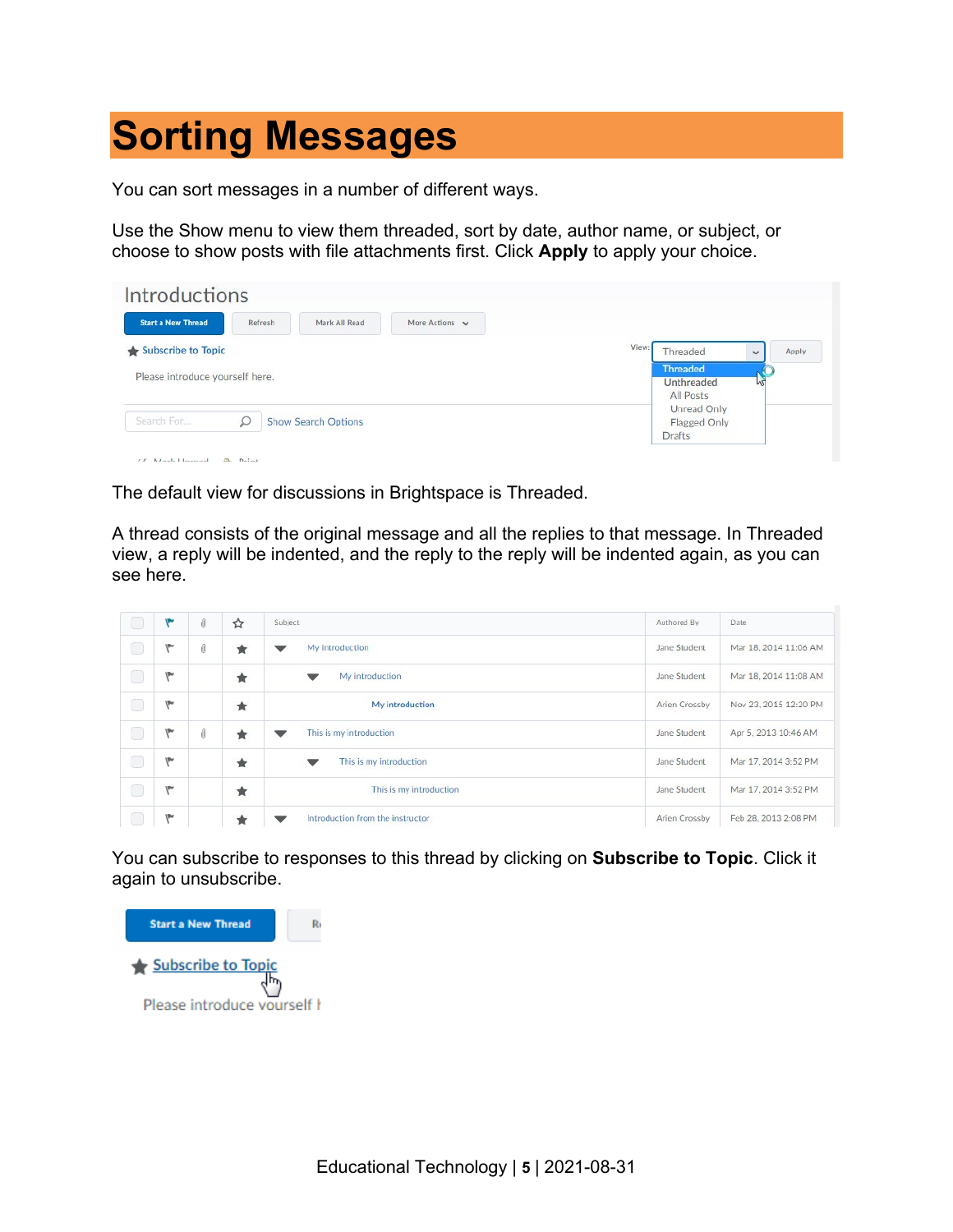## **Sorting Messages**

You can sort messages in a number of different ways.

Use the Show menu to view them threaded, sort by date, author name, or subject, or choose to show posts with file attachments first. Click **Apply** to apply your choice.

| <b>Start a New Thread</b>       | Refresh | Mark All Read       | More Actions v |       |                          |              |              |
|---------------------------------|---------|---------------------|----------------|-------|--------------------------|--------------|--------------|
| Subscribe to Topic              |         |                     |                | View: | Threaded                 | $\checkmark$ | <b>Apply</b> |
| Please introduce yourself here. |         |                     |                |       | <b>Threaded</b>          |              |              |
|                                 |         |                     |                |       | Unthreaded               | MЦ           |              |
|                                 |         |                     |                |       | All Posts<br>Unread Only |              |              |
| Search For                      |         | Show Search Options |                |       | Flagged Only             |              |              |
|                                 |         |                     |                |       | <b>Drafts</b>            |              |              |

The default view for discussions in Brightspace is Threaded.

A thread consists of the original message and all the replies to that message. In Threaded view, a reply will be indented, and the reply to the reply will be indented again, as you can see here.

| Œ                                      | ۴          | đ  | ☆ | Subject                          | Authored By   | Date                  |
|----------------------------------------|------------|----|---|----------------------------------|---------------|-----------------------|
| $\circledcirc$                         | <b>VPH</b> | đ  | ★ | My introduction                  | Jane Student  | Mar 18, 2014 11:06 AM |
| $\qquad \qquad \Box$                   | <b>IPw</b> |    | ★ | My introduction<br>▼             | Jane Student  | Mar 18, 2014 11:08 AM |
| $\circledcirc$                         | ۱P۲        |    | ★ | My introduction                  | Arien Crossby | Nov 23, 2015 12:20 PM |
| $\circledcirc$                         | <b>UPH</b> | f) | ★ | This is my introduction          | Jane Student  | Apr 5, 2013 10:46 AM  |
| $\circledcirc$                         | <b>VPw</b> |    | ★ | This is my introduction<br>▼     | Jane Student  | Mar 17, 2014 3:52 PM  |
| $\begin{pmatrix} 1 \\ 1 \end{pmatrix}$ | <b>VPW</b> |    | ★ | This is my introduction          | Jane Student  | Mar 17, 2014 3:52 PM  |
|                                        | <b>VPw</b> |    | Ŕ | Introduction from the instructor | Arien Crossby | Feb 28, 2013 2:08 PM  |

You can subscribe to responses to this thread by clicking on **Subscribe to Topic**. Click it again to unsubscribe.